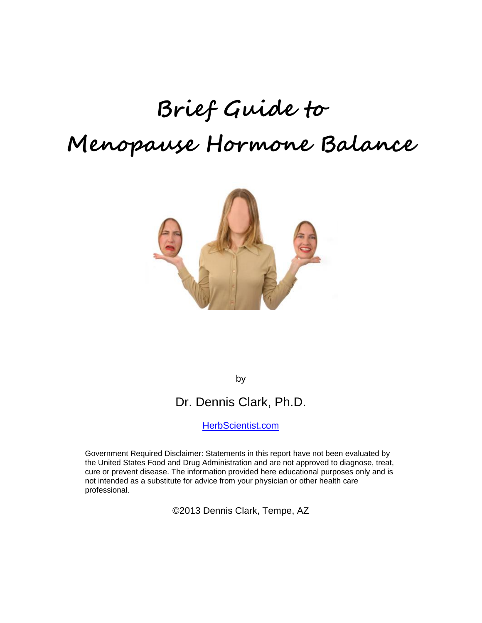# **Brief Guide to Menopause Hormone Balance**



by

# Dr. Dennis Clark, Ph.D.

[HerbScientist.com](http://herbscientist.com/)

Government Required Disclaimer: Statements in this report have not been evaluated by the United States Food and Drug Administration and are not approved to diagnose, treat, cure or prevent disease. The information provided here educational purposes only and is not intended as a substitute for advice from your physician or other health care professional.

©2013 Dennis Clark, Tempe, AZ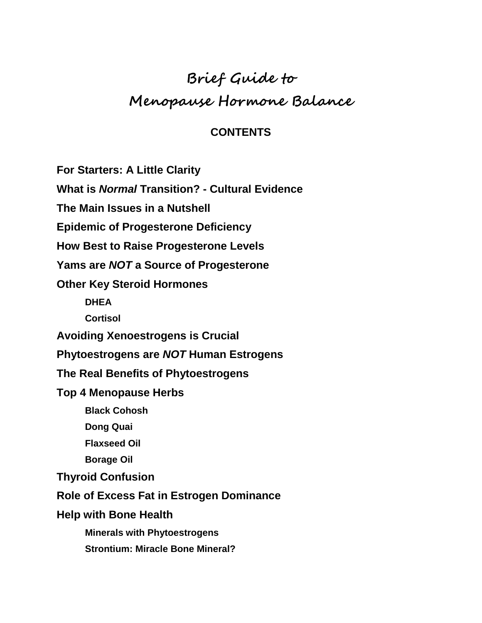# **Brief Guide to Menopause Hormone Balance**

#### **CONTENTS**

**For Starters: A Little Clarity**

**What is** *Normal* **Transition? - Cultural Evidence**

**The Main Issues in a Nutshell**

**Epidemic of Progesterone Deficiency**

**How Best to Raise Progesterone Levels**

**Yams are** *NOT* **a Source of Progesterone**

**Other Key Steroid Hormones**

**DHEA**

**Cortisol**

**Avoiding Xenoestrogens is Crucial**

**Phytoestrogens are** *NOT* **Human Estrogens**

**The Real Benefits of Phytoestrogens**

**Top 4 Menopause Herbs**

**Black Cohosh**

**Dong Quai**

**Flaxseed Oil**

**Borage Oil**

**Thyroid Confusion**

**Role of Excess Fat in Estrogen Dominance**

**Help with Bone Health**

**Minerals with Phytoestrogens**

**Strontium: Miracle Bone Mineral?**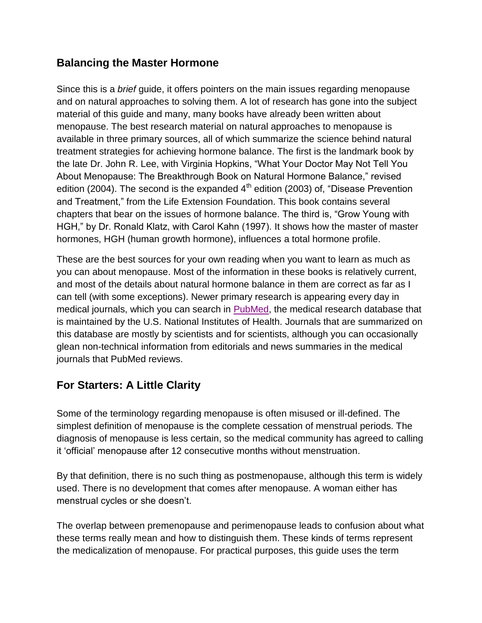#### **Balancing the Master Hormone**

Since this is a *brief* guide, it offers pointers on the main issues regarding menopause and on natural approaches to solving them. A lot of research has gone into the subject material of this guide and many, many books have already been written about menopause. The best research material on natural approaches to menopause is available in three primary sources, all of which summarize the science behind natural treatment strategies for achieving hormone balance. The first is the landmark book by the late Dr. John R. Lee, with Virginia Hopkins, "What Your Doctor May Not Tell You About Menopause: The Breakthrough Book on Natural Hormone Balance," revised edition (2004). The second is the expanded  $4<sup>th</sup>$  edition (2003) of, "Disease Prevention and Treatment," from the Life Extension Foundation. This book contains several chapters that bear on the issues of hormone balance. The third is, "Grow Young with HGH," by Dr. Ronald Klatz, with Carol Kahn (1997). It shows how the master of master hormones, HGH (human growth hormone), influences a total hormone profile.

These are the best sources for your own reading when you want to learn as much as you can about menopause. Most of the information in these books is relatively current, and most of the details about natural hormone balance in them are correct as far as I can tell (with some exceptions). Newer primary research is appearing every day in medical journals, which you can search in [PubMed,](http://www.ncbi.nlm.nih.gov/pubmed/) the medical research database that is maintained by the U.S. National Institutes of Health. Journals that are summarized on this database are mostly by scientists and for scientists, although you can occasionally glean non-technical information from editorials and news summaries in the medical journals that PubMed reviews.

# **For Starters: A Little Clarity**

Some of the terminology regarding menopause is often misused or ill-defined. The simplest definition of menopause is the complete cessation of menstrual periods. The diagnosis of menopause is less certain, so the medical community has agreed to calling it "official" menopause after 12 consecutive months without menstruation.

By that definition, there is no such thing as postmenopause, although this term is widely used. There is no development that comes after menopause. A woman either has menstrual cycles or she doesn"t.

The overlap between premenopause and perimenopause leads to confusion about what these terms really mean and how to distinguish them. These kinds of terms represent the medicalization of menopause. For practical purposes, this guide uses the term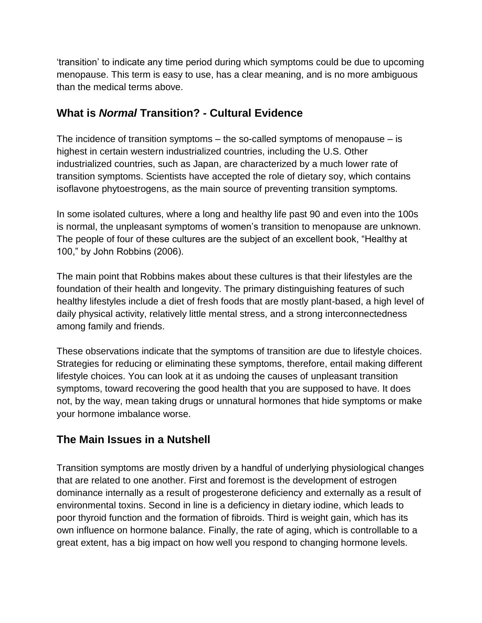"transition" to indicate any time period during which symptoms could be due to upcoming menopause. This term is easy to use, has a clear meaning, and is no more ambiguous than the medical terms above.

#### **What is** *Normal* **Transition? - Cultural Evidence**

The incidence of transition symptoms – the so-called symptoms of menopause – is highest in certain western industrialized countries, including the U.S. Other industrialized countries, such as Japan, are characterized by a much lower rate of transition symptoms. Scientists have accepted the role of dietary soy, which contains isoflavone phytoestrogens, as the main source of preventing transition symptoms.

In some isolated cultures, where a long and healthy life past 90 and even into the 100s is normal, the unpleasant symptoms of women"s transition to menopause are unknown. The people of four of these cultures are the subject of an excellent book, "Healthy at 100," by John Robbins (2006).

The main point that Robbins makes about these cultures is that their lifestyles are the foundation of their health and longevity. The primary distinguishing features of such healthy lifestyles include a diet of fresh foods that are mostly plant-based, a high level of daily physical activity, relatively little mental stress, and a strong interconnectedness among family and friends.

These observations indicate that the symptoms of transition are due to lifestyle choices. Strategies for reducing or eliminating these symptoms, therefore, entail making different lifestyle choices. You can look at it as undoing the causes of unpleasant transition symptoms, toward recovering the good health that you are supposed to have. It does not, by the way, mean taking drugs or unnatural hormones that hide symptoms or make your hormone imbalance worse.

# **The Main Issues in a Nutshell**

Transition symptoms are mostly driven by a handful of underlying physiological changes that are related to one another. First and foremost is the development of estrogen dominance internally as a result of progesterone deficiency and externally as a result of environmental toxins. Second in line is a deficiency in dietary iodine, which leads to poor thyroid function and the formation of fibroids. Third is weight gain, which has its own influence on hormone balance. Finally, the rate of aging, which is controllable to a great extent, has a big impact on how well you respond to changing hormone levels.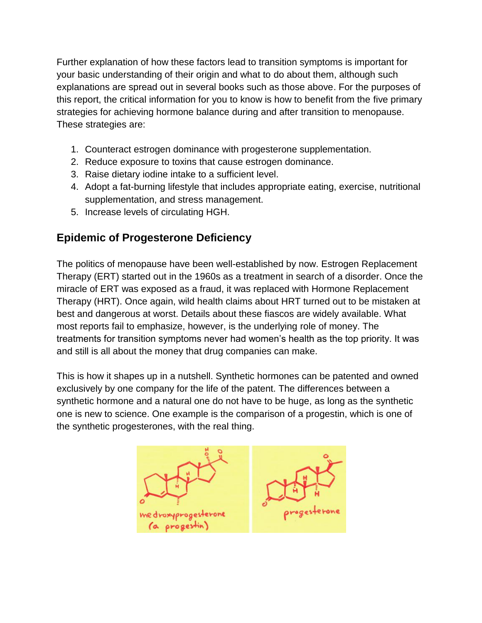Further explanation of how these factors lead to transition symptoms is important for your basic understanding of their origin and what to do about them, although such explanations are spread out in several books such as those above. For the purposes of this report, the critical information for you to know is how to benefit from the five primary strategies for achieving hormone balance during and after transition to menopause. These strategies are:

- 1. Counteract estrogen dominance with progesterone supplementation.
- 2. Reduce exposure to toxins that cause estrogen dominance.
- 3. Raise dietary iodine intake to a sufficient level.
- 4. Adopt a fat-burning lifestyle that includes appropriate eating, exercise, nutritional supplementation, and stress management.
- 5. Increase levels of circulating HGH.

# **Epidemic of Progesterone Deficiency**

The politics of menopause have been well-established by now. Estrogen Replacement Therapy (ERT) started out in the 1960s as a treatment in search of a disorder. Once the miracle of ERT was exposed as a fraud, it was replaced with Hormone Replacement Therapy (HRT). Once again, wild health claims about HRT turned out to be mistaken at best and dangerous at worst. Details about these fiascos are widely available. What most reports fail to emphasize, however, is the underlying role of money. The treatments for transition symptoms never had women"s health as the top priority. It was and still is all about the money that drug companies can make.

This is how it shapes up in a nutshell. Synthetic hormones can be patented and owned exclusively by one company for the life of the patent. The differences between a synthetic hormone and a natural one do not have to be huge, as long as the synthetic one is new to science. One example is the comparison of a progestin, which is one of the synthetic progesterones, with the real thing.

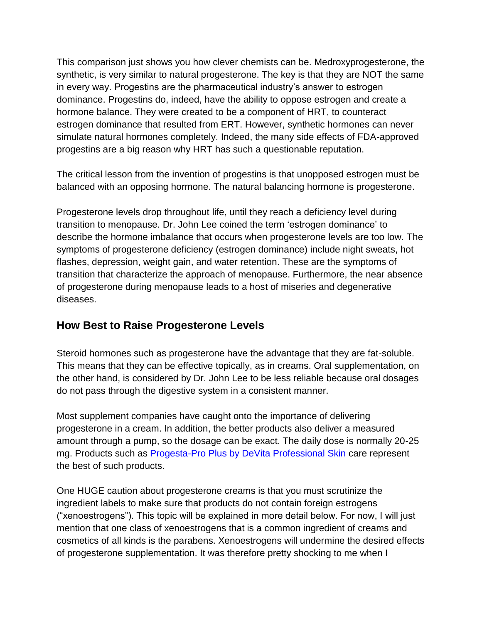This comparison just shows you how clever chemists can be. Medroxyprogesterone, the synthetic, is very similar to natural progesterone. The key is that they are NOT the same in every way. Progestins are the pharmaceutical industry"s answer to estrogen dominance. Progestins do, indeed, have the ability to oppose estrogen and create a hormone balance. They were created to be a component of HRT, to counteract estrogen dominance that resulted from ERT. However, synthetic hormones can never simulate natural hormones completely. Indeed, the many side effects of FDA-approved progestins are a big reason why HRT has such a questionable reputation.

The critical lesson from the invention of progestins is that unopposed estrogen must be balanced with an opposing hormone. The natural balancing hormone is progesterone.

Progesterone levels drop throughout life, until they reach a deficiency level during transition to menopause. Dr. John Lee coined the term "estrogen dominance" to describe the hormone imbalance that occurs when progesterone levels are too low. The symptoms of progesterone deficiency (estrogen dominance) include night sweats, hot flashes, depression, weight gain, and water retention. These are the symptoms of transition that characterize the approach of menopause. Furthermore, the near absence of progesterone during menopause leads to a host of miseries and degenerative diseases.

#### **How Best to Raise Progesterone Levels**

Steroid hormones such as progesterone have the advantage that they are fat-soluble. This means that they can be effective topically, as in creams. Oral supplementation, on the other hand, is considered by Dr. John Lee to be less reliable because oral dosages do not pass through the digestive system in a consistent manner.

Most supplement companies have caught onto the importance of delivering progesterone in a cream. In addition, the better products also deliver a measured amount through a pump, so the dosage can be exact. The daily dose is normally 20-25 mg. Products such as [Progesta-Pro Plus by DeVita Professional Skin](http://doctorsnutritioncenter.com/shop/progesta-pro-plus-devita-professional-skin-care/) care represent the best of such products.

One HUGE caution about progesterone creams is that you must scrutinize the ingredient labels to make sure that products do not contain foreign estrogens ("xenoestrogens"). This topic will be explained in more detail below. For now, I will just mention that one class of xenoestrogens that is a common ingredient of creams and cosmetics of all kinds is the parabens. Xenoestrogens will undermine the desired effects of progesterone supplementation. It was therefore pretty shocking to me when I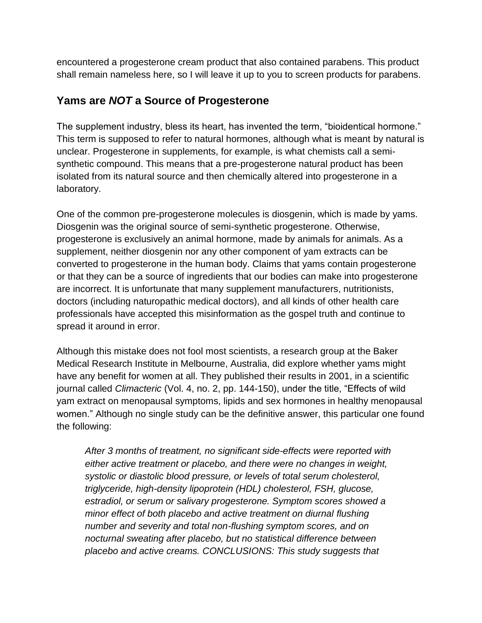encountered a progesterone cream product that also contained parabens. This product shall remain nameless here, so I will leave it up to you to screen products for parabens.

#### **Yams are** *NOT* **a Source of Progesterone**

The supplement industry, bless its heart, has invented the term, "bioidentical hormone." This term is supposed to refer to natural hormones, although what is meant by natural is unclear. Progesterone in supplements, for example, is what chemists call a semisynthetic compound. This means that a pre-progesterone natural product has been isolated from its natural source and then chemically altered into progesterone in a laboratory.

One of the common pre-progesterone molecules is diosgenin, which is made by yams. Diosgenin was the original source of semi-synthetic progesterone. Otherwise, progesterone is exclusively an animal hormone, made by animals for animals. As a supplement, neither diosgenin nor any other component of yam extracts can be converted to progesterone in the human body. Claims that yams contain progesterone or that they can be a source of ingredients that our bodies can make into progesterone are incorrect. It is unfortunate that many supplement manufacturers, nutritionists, doctors (including naturopathic medical doctors), and all kinds of other health care professionals have accepted this misinformation as the gospel truth and continue to spread it around in error.

Although this mistake does not fool most scientists, a research group at the Baker Medical Research Institute in Melbourne, Australia, did explore whether yams might have any benefit for women at all. They published their results in 2001, in a scientific journal called *Climacteric* (Vol. 4, no. 2, pp. 144-150), under the title, "Effects of wild yam extract on menopausal symptoms, lipids and sex hormones in healthy menopausal women." Although no single study can be the definitive answer, this particular one found the following:

*After 3 months of treatment, no significant side-effects were reported with either active treatment or placebo, and there were no changes in weight, systolic or diastolic blood pressure, or levels of total serum cholesterol, triglyceride, high-density lipoprotein (HDL) cholesterol, FSH, glucose, estradiol, or serum or salivary progesterone. Symptom scores showed a minor effect of both placebo and active treatment on diurnal flushing number and severity and total non-flushing symptom scores, and on nocturnal sweating after placebo, but no statistical difference between placebo and active creams. CONCLUSIONS: This study suggests that*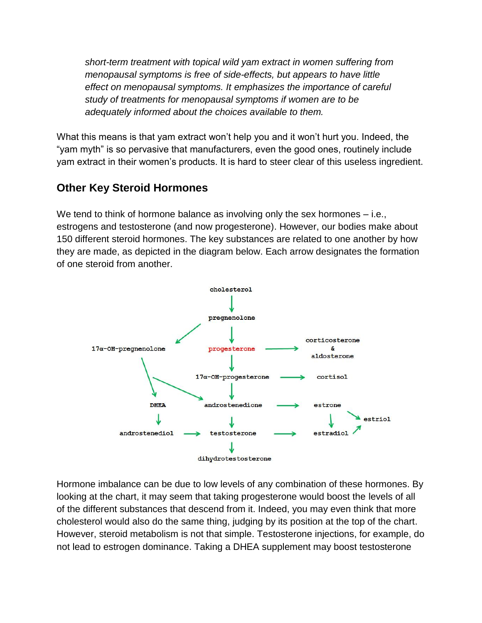*short-term treatment with topical wild yam extract in women suffering from menopausal symptoms is free of side-effects, but appears to have little effect on menopausal symptoms. It emphasizes the importance of careful study of treatments for menopausal symptoms if women are to be adequately informed about the choices available to them.*

What this means is that yam extract won't help you and it won't hurt you. Indeed, the "yam myth" is so pervasive that manufacturers, even the good ones, routinely include yam extract in their women"s products. It is hard to steer clear of this useless ingredient.

# **Other Key Steroid Hormones**

We tend to think of hormone balance as involving only the sex hormones – i.e., estrogens and testosterone (and now progesterone). However, our bodies make about 150 different steroid hormones. The key substances are related to one another by how they are made, as depicted in the diagram below. Each arrow designates the formation of one steroid from another.



Hormone imbalance can be due to low levels of any combination of these hormones. By looking at the chart, it may seem that taking progesterone would boost the levels of all of the different substances that descend from it. Indeed, you may even think that more cholesterol would also do the same thing, judging by its position at the top of the chart. However, steroid metabolism is not that simple. Testosterone injections, for example, do not lead to estrogen dominance. Taking a DHEA supplement may boost testosterone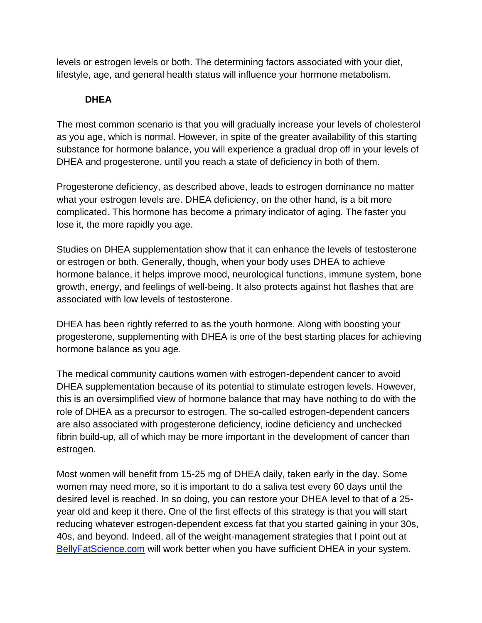levels or estrogen levels or both. The determining factors associated with your diet, lifestyle, age, and general health status will influence your hormone metabolism.

#### **DHEA**

The most common scenario is that you will gradually increase your levels of cholesterol as you age, which is normal. However, in spite of the greater availability of this starting substance for hormone balance, you will experience a gradual drop off in your levels of DHEA and progesterone, until you reach a state of deficiency in both of them.

Progesterone deficiency, as described above, leads to estrogen dominance no matter what your estrogen levels are. DHEA deficiency, on the other hand, is a bit more complicated. This hormone has become a primary indicator of aging. The faster you lose it, the more rapidly you age.

Studies on DHEA supplementation show that it can enhance the levels of testosterone or estrogen or both. Generally, though, when your body uses DHEA to achieve hormone balance, it helps improve mood, neurological functions, immune system, bone growth, energy, and feelings of well-being. It also protects against hot flashes that are associated with low levels of testosterone.

DHEA has been rightly referred to as the youth hormone. Along with boosting your progesterone, supplementing with DHEA is one of the best starting places for achieving hormone balance as you age.

The medical community cautions women with estrogen-dependent cancer to avoid DHEA supplementation because of its potential to stimulate estrogen levels. However, this is an oversimplified view of hormone balance that may have nothing to do with the role of DHEA as a precursor to estrogen. The so-called estrogen-dependent cancers are also associated with progesterone deficiency, iodine deficiency and unchecked fibrin build-up, all of which may be more important in the development of cancer than estrogen.

Most women will benefit from 15-25 mg of DHEA daily, taken early in the day. Some women may need more, so it is important to do a saliva test every 60 days until the desired level is reached. In so doing, you can restore your DHEA level to that of a 25 year old and keep it there. One of the first effects of this strategy is that you will start reducing whatever estrogen-dependent excess fat that you started gaining in your 30s, 40s, and beyond. Indeed, all of the weight-management strategies that I point out at [BellyFatScience.com](http://bellyfatscience.com/) will work better when you have sufficient DHEA in your system.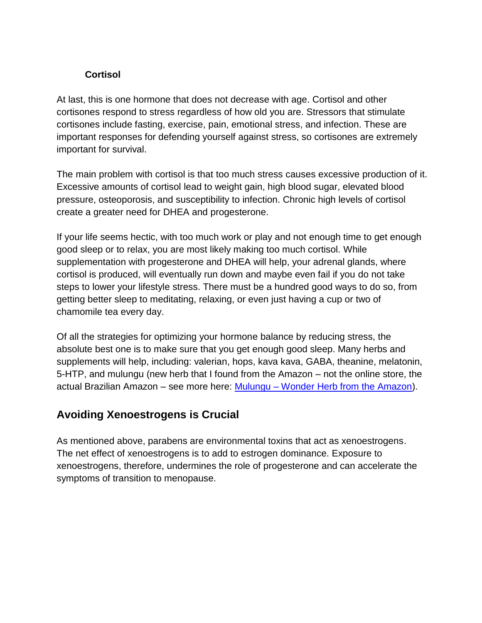#### **Cortisol**

At last, this is one hormone that does not decrease with age. Cortisol and other cortisones respond to stress regardless of how old you are. Stressors that stimulate cortisones include fasting, exercise, pain, emotional stress, and infection. These are important responses for defending yourself against stress, so cortisones are extremely important for survival.

The main problem with cortisol is that too much stress causes excessive production of it. Excessive amounts of cortisol lead to weight gain, high blood sugar, elevated blood pressure, osteoporosis, and susceptibility to infection. Chronic high levels of cortisol create a greater need for DHEA and progesterone.

If your life seems hectic, with too much work or play and not enough time to get enough good sleep or to relax, you are most likely making too much cortisol. While supplementation with progesterone and DHEA will help, your adrenal glands, where cortisol is produced, will eventually run down and maybe even fail if you do not take steps to lower your lifestyle stress. There must be a hundred good ways to do so, from getting better sleep to meditating, relaxing, or even just having a cup or two of chamomile tea every day.

Of all the strategies for optimizing your hormone balance by reducing stress, the absolute best one is to make sure that you get enough good sleep. Many herbs and supplements will help, including: valerian, hops, kava kava, GABA, theanine, melatonin, 5-HTP, and mulungu (new herb that I found from the Amazon – not the online store, the actual Brazilian Amazon – see more here: Mulungu – [Wonder Herb from the Amazon\)](http://doctorsnutritioncenter.com/mulungu-wonder-herb-from-the-amazon/).

# **Avoiding Xenoestrogens is Crucial**

As mentioned above, parabens are environmental toxins that act as xenoestrogens. The net effect of xenoestrogens is to add to estrogen dominance. Exposure to xenoestrogens, therefore, undermines the role of progesterone and can accelerate the symptoms of transition to menopause.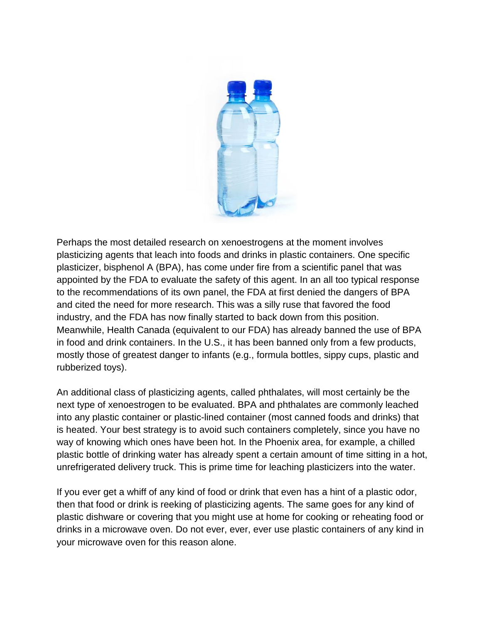

Perhaps the most detailed research on xenoestrogens at the moment involves plasticizing agents that leach into foods and drinks in plastic containers. One specific plasticizer, bisphenol A (BPA), has come under fire from a scientific panel that was appointed by the FDA to evaluate the safety of this agent. In an all too typical response to the recommendations of its own panel, the FDA at first denied the dangers of BPA and cited the need for more research. This was a silly ruse that favored the food industry, and the FDA has now finally started to back down from this position. Meanwhile, Health Canada (equivalent to our FDA) has already banned the use of BPA in food and drink containers. In the U.S., it has been banned only from a few products, mostly those of greatest danger to infants (e.g., formula bottles, sippy cups, plastic and rubberized toys).

An additional class of plasticizing agents, called phthalates, will most certainly be the next type of xenoestrogen to be evaluated. BPA and phthalates are commonly leached into any plastic container or plastic-lined container (most canned foods and drinks) that is heated. Your best strategy is to avoid such containers completely, since you have no way of knowing which ones have been hot. In the Phoenix area, for example, a chilled plastic bottle of drinking water has already spent a certain amount of time sitting in a hot, unrefrigerated delivery truck. This is prime time for leaching plasticizers into the water.

If you ever get a whiff of any kind of food or drink that even has a hint of a plastic odor, then that food or drink is reeking of plasticizing agents. The same goes for any kind of plastic dishware or covering that you might use at home for cooking or reheating food or drinks in a microwave oven. Do not ever, ever, ever use plastic containers of any kind in your microwave oven for this reason alone.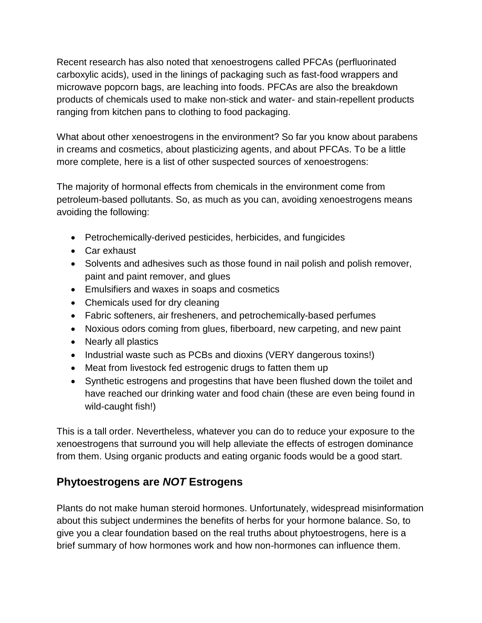Recent research has also noted that xenoestrogens called PFCAs (perfluorinated carboxylic acids), used in the linings of packaging such as fast-food wrappers and microwave popcorn bags, are leaching into foods. PFCAs are also the breakdown products of chemicals used to make non-stick and water- and stain-repellent products ranging from kitchen pans to clothing to food packaging.

What about other xenoestrogens in the environment? So far you know about parabens in creams and cosmetics, about plasticizing agents, and about PFCAs. To be a little more complete, here is a list of other suspected sources of xenoestrogens:

The majority of hormonal effects from chemicals in the environment come from petroleum-based pollutants. So, as much as you can, avoiding xenoestrogens means avoiding the following:

- Petrochemically-derived pesticides, herbicides, and fungicides
- Car exhaust
- Solvents and adhesives such as those found in nail polish and polish remover, paint and paint remover, and glues
- Emulsifiers and waxes in soaps and cosmetics
- Chemicals used for dry cleaning
- Fabric softeners, air fresheners, and petrochemically-based perfumes
- Noxious odors coming from glues, fiberboard, new carpeting, and new paint
- Nearly all plastics
- Industrial waste such as PCBs and dioxins (VERY dangerous toxins!)
- Meat from livestock fed estrogenic drugs to fatten them up
- Synthetic estrogens and progestins that have been flushed down the toilet and have reached our drinking water and food chain (these are even being found in wild-caught fish!)

This is a tall order. Nevertheless, whatever you can do to reduce your exposure to the xenoestrogens that surround you will help alleviate the effects of estrogen dominance from them. Using organic products and eating organic foods would be a good start.

# **Phytoestrogens are** *NOT* **Estrogens**

Plants do not make human steroid hormones. Unfortunately, widespread misinformation about this subject undermines the benefits of herbs for your hormone balance. So, to give you a clear foundation based on the real truths about phytoestrogens, here is a brief summary of how hormones work and how non-hormones can influence them.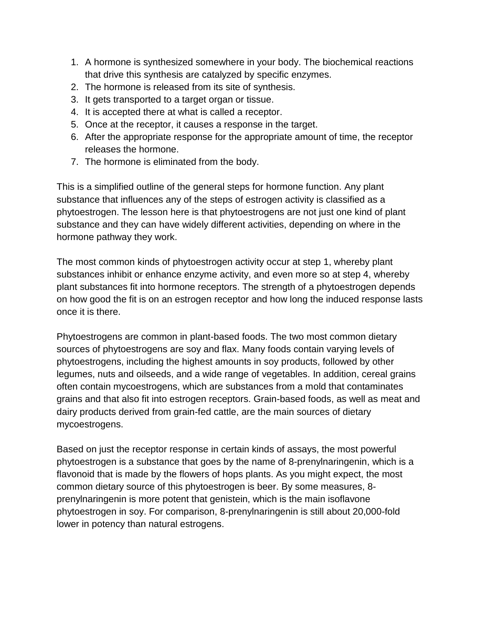- 1. A hormone is synthesized somewhere in your body. The biochemical reactions that drive this synthesis are catalyzed by specific enzymes.
- 2. The hormone is released from its site of synthesis.
- 3. It gets transported to a target organ or tissue.
- 4. It is accepted there at what is called a receptor.
- 5. Once at the receptor, it causes a response in the target.
- 6. After the appropriate response for the appropriate amount of time, the receptor releases the hormone.
- 7. The hormone is eliminated from the body.

This is a simplified outline of the general steps for hormone function. Any plant substance that influences any of the steps of estrogen activity is classified as a phytoestrogen. The lesson here is that phytoestrogens are not just one kind of plant substance and they can have widely different activities, depending on where in the hormone pathway they work.

The most common kinds of phytoestrogen activity occur at step 1, whereby plant substances inhibit or enhance enzyme activity, and even more so at step 4, whereby plant substances fit into hormone receptors. The strength of a phytoestrogen depends on how good the fit is on an estrogen receptor and how long the induced response lasts once it is there.

Phytoestrogens are common in plant-based foods. The two most common dietary sources of phytoestrogens are soy and flax. Many foods contain varying levels of phytoestrogens, including the highest amounts in soy products, followed by other legumes, nuts and oilseeds, and a wide range of vegetables. In addition, cereal grains often contain mycoestrogens, which are substances from a mold that contaminates grains and that also fit into estrogen receptors. Grain-based foods, as well as meat and dairy products derived from grain-fed cattle, are the main sources of dietary mycoestrogens.

Based on just the receptor response in certain kinds of assays, the most powerful phytoestrogen is a substance that goes by the name of 8-prenylnaringenin, which is a flavonoid that is made by the flowers of hops plants. As you might expect, the most common dietary source of this phytoestrogen is beer. By some measures, 8 prenylnaringenin is more potent that genistein, which is the main isoflavone phytoestrogen in soy. For comparison, 8-prenylnaringenin is still about 20,000-fold lower in potency than natural estrogens.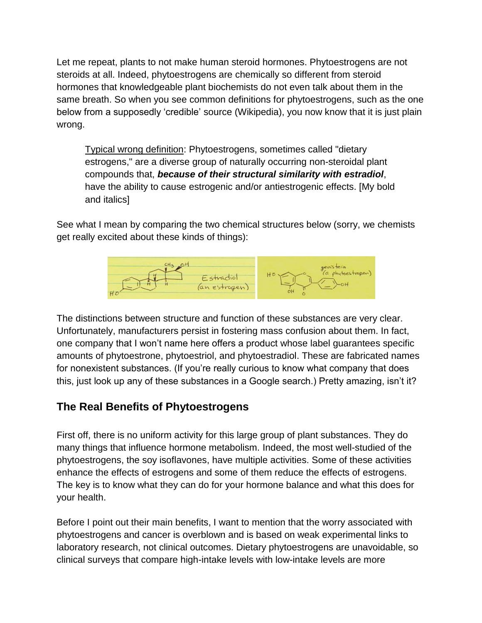Let me repeat, plants to not make human steroid hormones. Phytoestrogens are not steroids at all. Indeed, phytoestrogens are chemically so different from steroid hormones that knowledgeable plant biochemists do not even talk about them in the same breath. So when you see common definitions for phytoestrogens, such as the one below from a supposedly 'credible' source (Wikipedia), you now know that it is just plain wrong.

Typical wrong definition: Phytoestrogens, sometimes called "dietary estrogens," are a diverse group of naturally occurring non-steroidal plant compounds that, *because of their structural similarity with estradiol*, have the ability to cause estrogenic and/or antiestrogenic effects. [My bold and italics]

See what I mean by comparing the two chemical structures below (sorry, we chemists get really excited about these kinds of things):



The distinctions between structure and function of these substances are very clear. Unfortunately, manufacturers persist in fostering mass confusion about them. In fact, one company that I won"t name here offers a product whose label guarantees specific amounts of phytoestrone, phytoestriol, and phytoestradiol. These are fabricated names for nonexistent substances. (If you"re really curious to know what company that does this, just look up any of these substances in a Google search.) Pretty amazing, isn"t it?

#### **The Real Benefits of Phytoestrogens**

First off, there is no uniform activity for this large group of plant substances. They do many things that influence hormone metabolism. Indeed, the most well-studied of the phytoestrogens, the soy isoflavones, have multiple activities. Some of these activities enhance the effects of estrogens and some of them reduce the effects of estrogens. The key is to know what they can do for your hormone balance and what this does for your health.

Before I point out their main benefits, I want to mention that the worry associated with phytoestrogens and cancer is overblown and is based on weak experimental links to laboratory research, not clinical outcomes. Dietary phytoestrogens are unavoidable, so clinical surveys that compare high-intake levels with low-intake levels are more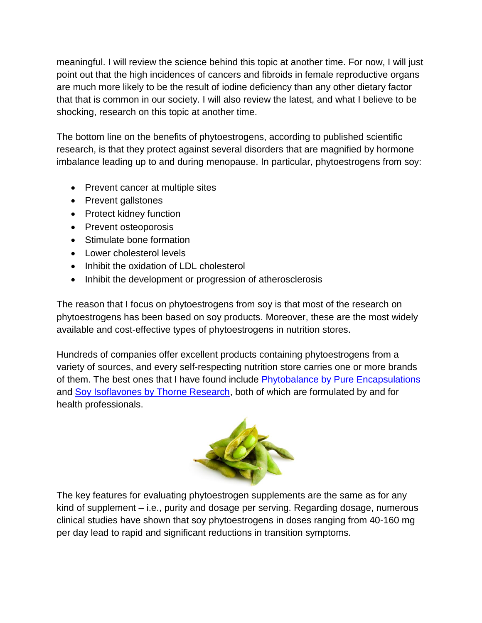meaningful. I will review the science behind this topic at another time. For now, I will just point out that the high incidences of cancers and fibroids in female reproductive organs are much more likely to be the result of iodine deficiency than any other dietary factor that that is common in our society. I will also review the latest, and what I believe to be shocking, research on this topic at another time.

The bottom line on the benefits of phytoestrogens, according to published scientific research, is that they protect against several disorders that are magnified by hormone imbalance leading up to and during menopause. In particular, phytoestrogens from soy:

- Prevent cancer at multiple sites
- Prevent gallstones
- Protect kidney function
- Prevent osteoporosis
- Stimulate bone formation
- Lower cholesterol levels
- Inhibit the oxidation of LDL cholesterol
- Inhibit the development or progression of atherosclerosis

The reason that I focus on phytoestrogens from soy is that most of the research on phytoestrogens has been based on soy products. Moreover, these are the most widely available and cost-effective types of phytoestrogens in nutrition stores.

Hundreds of companies offer excellent products containing phytoestrogens from a variety of sources, and every self-respecting nutrition store carries one or more brands of them. The best ones that I have found include [Phytobalance by Pure Encapsulations](http://doctorsnutritioncenter.com/shop/phytobalance-pure-encapsulations/) and [Soy Isoflavones by Thorne Research,](http://doctorsnutritioncenter.com/shop/soy-isoflavones-thorne-research/) both of which are formulated by and for health professionals.



The key features for evaluating phytoestrogen supplements are the same as for any kind of supplement – i.e., purity and dosage per serving. Regarding dosage, numerous clinical studies have shown that soy phytoestrogens in doses ranging from 40-160 mg per day lead to rapid and significant reductions in transition symptoms.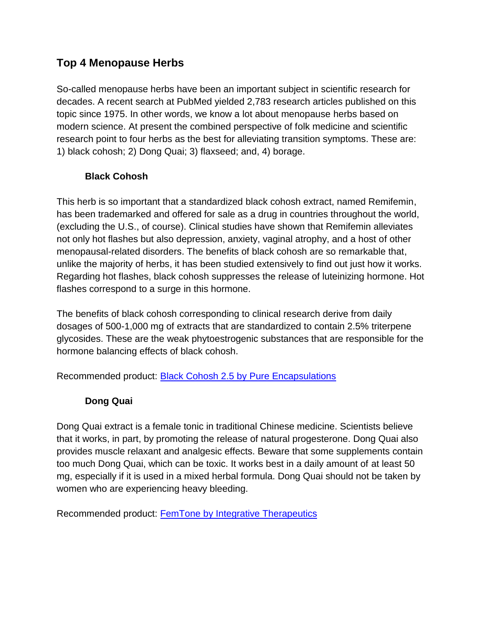# **Top 4 Menopause Herbs**

So-called menopause herbs have been an important subject in scientific research for decades. A recent search at PubMed yielded 2,783 research articles published on this topic since 1975. In other words, we know a lot about menopause herbs based on modern science. At present the combined perspective of folk medicine and scientific research point to four herbs as the best for alleviating transition symptoms. These are: 1) black cohosh; 2) Dong Quai; 3) flaxseed; and, 4) borage.

#### **Black Cohosh**

This herb is so important that a standardized black cohosh extract, named Remifemin, has been trademarked and offered for sale as a drug in countries throughout the world, (excluding the U.S., of course). Clinical studies have shown that Remifemin alleviates not only hot flashes but also depression, anxiety, vaginal atrophy, and a host of other menopausal-related disorders. The benefits of black cohosh are so remarkable that, unlike the majority of herbs, it has been studied extensively to find out just how it works. Regarding hot flashes, black cohosh suppresses the release of luteinizing hormone. Hot flashes correspond to a surge in this hormone.

The benefits of black cohosh corresponding to clinical research derive from daily dosages of 500-1,000 mg of extracts that are standardized to contain 2.5% triterpene glycosides. These are the weak phytoestrogenic substances that are responsible for the hormone balancing effects of black cohosh.

Recommended product: [Black Cohosh 2.5 by](http://doctorsnutritioncenter.com/shop/black-cohosh-2-5-pure-encapsulations/) Pure Encapsulations

#### **Dong Quai**

Dong Quai extract is a female tonic in traditional Chinese medicine. Scientists believe that it works, in part, by promoting the release of natural progesterone. Dong Quai also provides muscle relaxant and analgesic effects. Beware that some supplements contain too much Dong Quai, which can be toxic. It works best in a daily amount of at least 50 mg, especially if it is used in a mixed herbal formula. Dong Quai should not be taken by women who are experiencing heavy bleeding.

Recommended product: [FemTone by Integrative Therapeutics](http://doctorsnutritioncenter.com/shop/femtone-integrative-therapeutics/)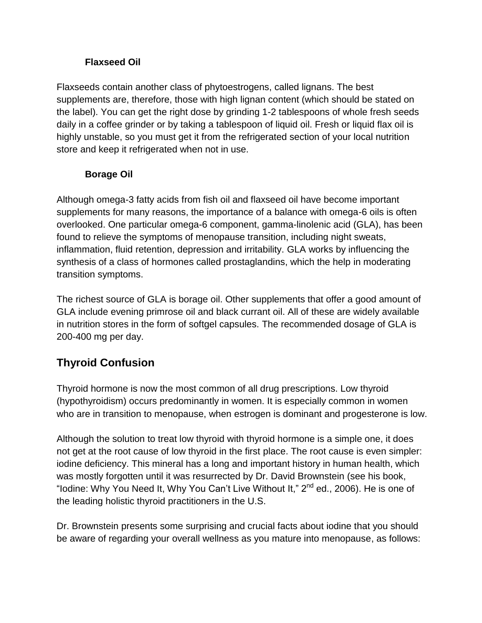#### **Flaxseed Oil**

Flaxseeds contain another class of phytoestrogens, called lignans. The best supplements are, therefore, those with high lignan content (which should be stated on the label). You can get the right dose by grinding 1-2 tablespoons of whole fresh seeds daily in a coffee grinder or by taking a tablespoon of liquid oil. Fresh or liquid flax oil is highly unstable, so you must get it from the refrigerated section of your local nutrition store and keep it refrigerated when not in use.

#### **Borage Oil**

Although omega-3 fatty acids from fish oil and flaxseed oil have become important supplements for many reasons, the importance of a balance with omega-6 oils is often overlooked. One particular omega-6 component, gamma-linolenic acid (GLA), has been found to relieve the symptoms of menopause transition, including night sweats, inflammation, fluid retention, depression and irritability. GLA works by influencing the synthesis of a class of hormones called prostaglandins, which the help in moderating transition symptoms.

The richest source of GLA is borage oil. Other supplements that offer a good amount of GLA include evening primrose oil and black currant oil. All of these are widely available in nutrition stores in the form of softgel capsules. The recommended dosage of GLA is 200-400 mg per day.

# **Thyroid Confusion**

Thyroid hormone is now the most common of all drug prescriptions. Low thyroid (hypothyroidism) occurs predominantly in women. It is especially common in women who are in transition to menopause, when estrogen is dominant and progesterone is low.

Although the solution to treat low thyroid with thyroid hormone is a simple one, it does not get at the root cause of low thyroid in the first place. The root cause is even simpler: iodine deficiency. This mineral has a long and important history in human health, which was mostly forgotten until it was resurrected by Dr. David Brownstein (see his book, "Iodine: Why You Need It, Why You Can't Live Without It," 2<sup>nd</sup> ed., 2006). He is one of the leading holistic thyroid practitioners in the U.S.

Dr. Brownstein presents some surprising and crucial facts about iodine that you should be aware of regarding your overall wellness as you mature into menopause, as follows: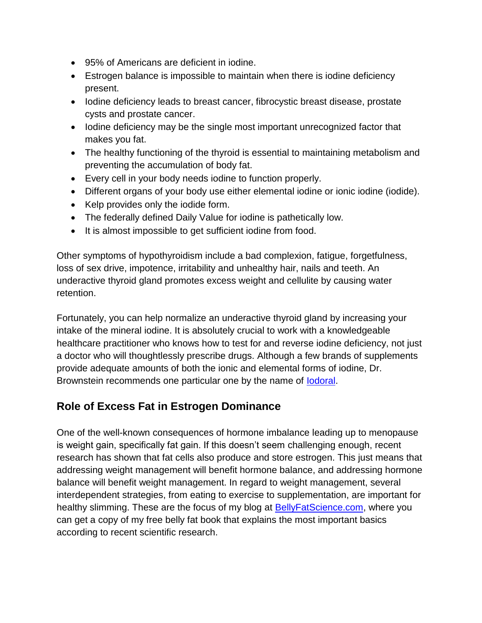- 95% of Americans are deficient in iodine.
- Estrogen balance is impossible to maintain when there is iodine deficiency present.
- Iodine deficiency leads to breast cancer, fibrocystic breast disease, prostate cysts and prostate cancer.
- Iodine deficiency may be the single most important unrecognized factor that makes you fat.
- The healthy functioning of the thyroid is essential to maintaining metabolism and preventing the accumulation of body fat.
- Every cell in your body needs iodine to function properly.
- Different organs of your body use either elemental iodine or ionic iodine (iodide).
- Kelp provides only the iodide form.
- The federally defined Daily Value for iodine is pathetically low.
- It is almost impossible to get sufficient iodine from food.

Other symptoms of hypothyroidism include a bad complexion, fatigue, forgetfulness, loss of sex drive, impotence, irritability and unhealthy hair, nails and teeth. An underactive thyroid gland promotes excess weight and cellulite by causing water retention.

Fortunately, you can help normalize an underactive thyroid gland by increasing your intake of the mineral iodine. It is absolutely crucial to work with a knowledgeable healthcare practitioner who knows how to test for and reverse iodine deficiency, not just a doctor who will thoughtlessly prescribe drugs. Although a few brands of supplements provide adequate amounts of both the ionic and elemental forms of iodine, Dr. Brownstein recommends one particular one by the name of [Iodoral.](http://doctorsnutritioncenter.com/shop/iodoral-multi-iodine-complex-optimox/)

# **Role of Excess Fat in Estrogen Dominance**

One of the well-known consequences of hormone imbalance leading up to menopause is weight gain, specifically fat gain. If this doesn't seem challenging enough, recent research has shown that fat cells also produce and store estrogen. This just means that addressing weight management will benefit hormone balance, and addressing hormone balance will benefit weight management. In regard to weight management, several interdependent strategies, from eating to exercise to supplementation, are important for healthy slimming. These are the focus of my blog at [BellyFatScience.com,](http://bellyfatscience.com/) where you can get a copy of my free belly fat book that explains the most important basics according to recent scientific research.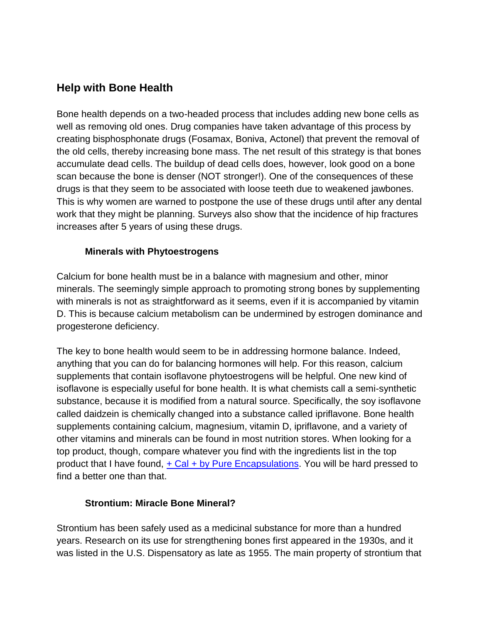#### **Help with Bone Health**

Bone health depends on a two-headed process that includes adding new bone cells as well as removing old ones. Drug companies have taken advantage of this process by creating bisphosphonate drugs (Fosamax, Boniva, Actonel) that prevent the removal of the old cells, thereby increasing bone mass. The net result of this strategy is that bones accumulate dead cells. The buildup of dead cells does, however, look good on a bone scan because the bone is denser (NOT stronger!). One of the consequences of these drugs is that they seem to be associated with loose teeth due to weakened jawbones. This is why women are warned to postpone the use of these drugs until after any dental work that they might be planning. Surveys also show that the incidence of hip fractures increases after 5 years of using these drugs.

#### **Minerals with Phytoestrogens**

Calcium for bone health must be in a balance with magnesium and other, minor minerals. The seemingly simple approach to promoting strong bones by supplementing with minerals is not as straightforward as it seems, even if it is accompanied by vitamin D. This is because calcium metabolism can be undermined by estrogen dominance and progesterone deficiency.

The key to bone health would seem to be in addressing hormone balance. Indeed, anything that you can do for balancing hormones will help. For this reason, calcium supplements that contain isoflavone phytoestrogens will be helpful. One new kind of isoflavone is especially useful for bone health. It is what chemists call a semi-synthetic substance, because it is modified from a natural source. Specifically, the soy isoflavone called daidzein is chemically changed into a substance called ipriflavone. Bone health supplements containing calcium, magnesium, vitamin D, ipriflavone, and a variety of other vitamins and minerals can be found in most nutrition stores. When looking for a top product, though, compare whatever you find with the ingredients list in the top product that I have found,  $+$  Cal  $+$  by Pure Encapsulations. You will be hard pressed to find a better one than that.

#### **Strontium: Miracle Bone Mineral?**

Strontium has been safely used as a medicinal substance for more than a hundred years. Research on its use for strengthening bones first appeared in the 1930s, and it was listed in the U.S. Dispensatory as late as 1955. The main property of strontium that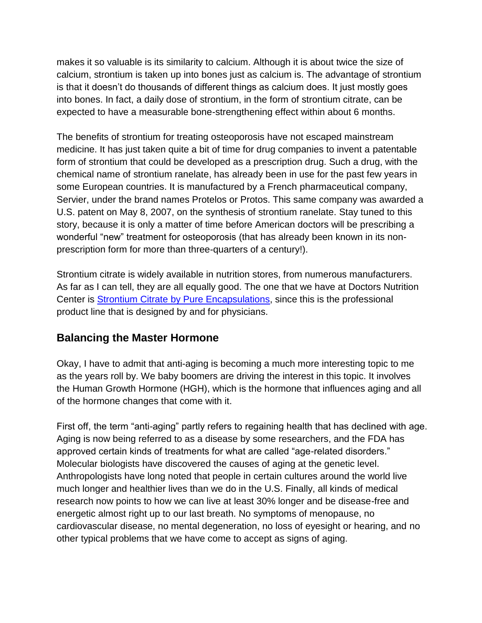makes it so valuable is its similarity to calcium. Although it is about twice the size of calcium, strontium is taken up into bones just as calcium is. The advantage of strontium is that it doesn"t do thousands of different things as calcium does. It just mostly goes into bones. In fact, a daily dose of strontium, in the form of strontium citrate, can be expected to have a measurable bone-strengthening effect within about 6 months.

The benefits of strontium for treating osteoporosis have not escaped mainstream medicine. It has just taken quite a bit of time for drug companies to invent a patentable form of strontium that could be developed as a prescription drug. Such a drug, with the chemical name of strontium ranelate, has already been in use for the past few years in some European countries. It is manufactured by a French pharmaceutical company, Servier, under the brand names Protelos or Protos. This same company was awarded a U.S. patent on May 8, 2007, on the synthesis of strontium ranelate. Stay tuned to this story, because it is only a matter of time before American doctors will be prescribing a wonderful "new" treatment for osteoporosis (that has already been known in its nonprescription form for more than three-quarters of a century!).

Strontium citrate is widely available in nutrition stores, from numerous manufacturers. As far as I can tell, they are all equally good. The one that we have at Doctors Nutrition Center is Strontium Citrate [by Pure Encapsulations,](http://doctorsnutritioncenter.com/shop/strontium-citrate-pure-encapsulations/) since this is the professional product line that is designed by and for physicians.

#### **Balancing the Master Hormone**

Okay, I have to admit that anti-aging is becoming a much more interesting topic to me as the years roll by. We baby boomers are driving the interest in this topic. It involves the Human Growth Hormone (HGH), which is the hormone that influences aging and all of the hormone changes that come with it.

First off, the term "anti-aging" partly refers to regaining health that has declined with age. Aging is now being referred to as a disease by some researchers, and the FDA has approved certain kinds of treatments for what are called "age-related disorders." Molecular biologists have discovered the causes of aging at the genetic level. Anthropologists have long noted that people in certain cultures around the world live much longer and healthier lives than we do in the U.S. Finally, all kinds of medical research now points to how we can live at least 30% longer and be disease-free and energetic almost right up to our last breath. No symptoms of menopause, no cardiovascular disease, no mental degeneration, no loss of eyesight or hearing, and no other typical problems that we have come to accept as signs of aging.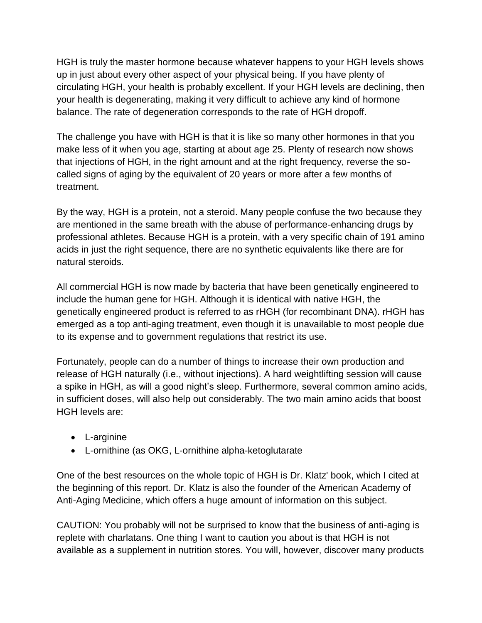HGH is truly the master hormone because whatever happens to your HGH levels shows up in just about every other aspect of your physical being. If you have plenty of circulating HGH, your health is probably excellent. If your HGH levels are declining, then your health is degenerating, making it very difficult to achieve any kind of hormone balance. The rate of degeneration corresponds to the rate of HGH dropoff.

The challenge you have with HGH is that it is like so many other hormones in that you make less of it when you age, starting at about age 25. Plenty of research now shows that injections of HGH, in the right amount and at the right frequency, reverse the socalled signs of aging by the equivalent of 20 years or more after a few months of treatment.

By the way, HGH is a protein, not a steroid. Many people confuse the two because they are mentioned in the same breath with the abuse of performance-enhancing drugs by professional athletes. Because HGH is a protein, with a very specific chain of 191 amino acids in just the right sequence, there are no synthetic equivalents like there are for natural steroids.

All commercial HGH is now made by bacteria that have been genetically engineered to include the human gene for HGH. Although it is identical with native HGH, the genetically engineered product is referred to as rHGH (for recombinant DNA). rHGH has emerged as a top anti-aging treatment, even though it is unavailable to most people due to its expense and to government regulations that restrict its use.

Fortunately, people can do a number of things to increase their own production and release of HGH naturally (i.e., without injections). A hard weightlifting session will cause a spike in HGH, as will a good night's sleep. Furthermore, several common amino acids, in sufficient doses, will also help out considerably. The two main amino acids that boost HGH levels are:

- L-arginine
- L-ornithine (as OKG, L-ornithine alpha-ketoglutarate

One of the best resources on the whole topic of HGH is Dr. Klatz' book, which I cited at the beginning of this report. Dr. Klatz is also the founder of the American Academy of Anti-Aging Medicine, which offers a huge amount of information on this subject.

CAUTION: You probably will not be surprised to know that the business of anti-aging is replete with charlatans. One thing I want to caution you about is that HGH is not available as a supplement in nutrition stores. You will, however, discover many products